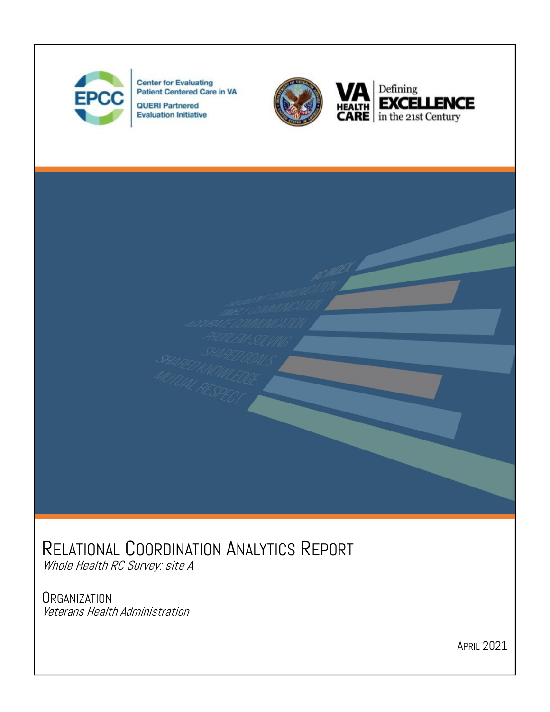

**Center for Evaluating** Patient Centered Care in VA

**QUERI Partnered Evaluation Initiative** 





# RELATIONAL COORDINATION ANALYTICS REPORT

Whole Health RC Survey: site A

#### **ORGANIZATION**

Veterans Health Administration

APRIL 2021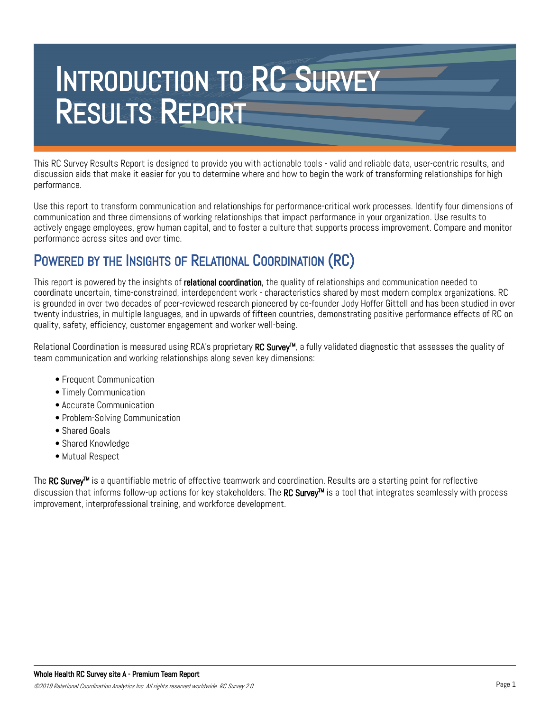# INTRODUCTION TO RC SURVEY RESULTS REPORT

This RC Survey Results Report is designed to provide you with actionable tools - valid and reliable data, user-centric results, and discussion aids that make it easier for you to determine where and how to begin the work of transforming relationships for high performance.

Use this report to transform communication and relationships for performance-critical work processes. Identify four dimensions of communication and three dimensions of working relationships that impact performance in your organization. Use results to actively engage employees, grow human capital, and to foster a culture that supports process improvement. Compare and monitor performance across sites and over time.

#### POWERED BY THE INSIGHTS OF RELATIONAL COORDINATION (RC)

This report is powered by the insights of relational coordination, the quality of relationships and communication needed to coordinate uncertain, time-constrained, interdependent work - characteristics shared by most modern complex organizations. RC is grounded in over two decades of peer-reviewed research pioneered by co-founder Jody Hoffer Gittell and has been studied in over twenty industries, in multiple languages, and in upwards of fifteen countries, demonstrating positive performance effects of RC on quality, safety, efficiency, customer engagement and worker well-being.

Relational Coordination is measured using RCA's proprietary RC Survey<sup>™</sup>, a fully validated diagnostic that assesses the quality of team communication and working relationships along seven key dimensions:

- Frequent Communication
- Timely Communication
- Accurate Communication
- Problem-Solving Communication
- Shared Goals
- Shared Knowledge
- Mutual Respect

The RC Survey™ is a quantifiable metric of effective teamwork and coordination. Results are a starting point for reflective discussion that informs follow-up actions for key stakeholders. The RC Survey<sup>TM</sup> is a tool that integrates seamlessly with process improvement, interprofessional training, and workforce development.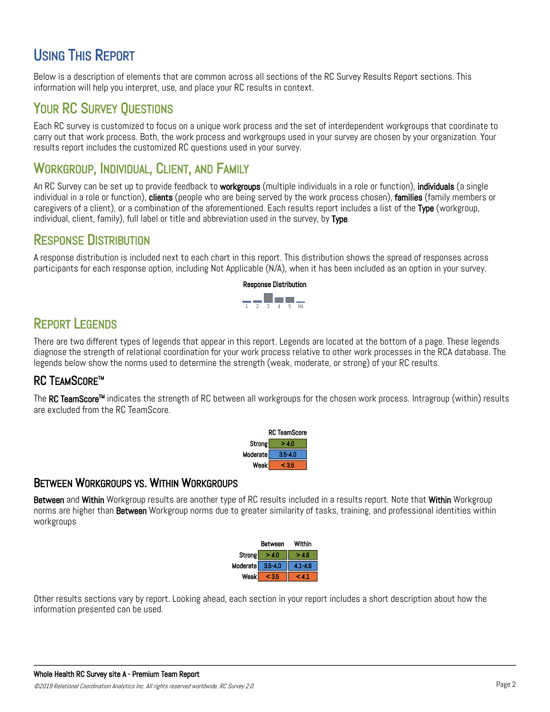#### USING THIS REPORT

Below is a description of elements that are common across all sections of the RC Survey Results Report sections. This information will help you interpret, use, and place your RC results in context.

#### YOUR RC SURVEY OUESTIONS

Each RC survey is customized to focus on a unique work process and the set of interdependent workgroups that coordinate to carry out that work process. Both, the work process and workgroups used in your survey are chosen by your organization. Your results report includes the customized RC questions used in your survey.

#### WORKGROUP, INDIVIDUAL, CLIENT, AND FAMILY

An RC Survey can be set up to provide feedback to workgroups (multiple individuals in a role or function), individuals (a single individual in a role or function), clients (people who are being served by the work process chosen), families (family members or caregivers of a client), or a combination of the aforementioned. Each results report includes a list of the Type (workgroup, individual, client, family), full label or title and abbreviation used in the survey, by Type.

#### RESPONSE DISTRIBUTION

A response distribution is included next to each chart in this report. This distribution shows the spread of responses across participants for each response option, including Not Applicable (N/A), when it has been included as an option in your survey.



#### REPORT LEGENDS

There are two different types of legends that appear in this report. Legends are located at the bottom of a page. These legends diagnose the strength of relational coordination for your work process relative to other work processes in the RCA database. The legends below show the norms used to determine the strength (weak, moderate, or strong) of your RC results.

#### **RC TFAMSCORE™**

The RC TeamScore<sup>™</sup> indicates the strength of RC between all workgroups for the chosen work process. Intragroup (within) results are excluded from the RC TeamScore.

|          | <b>RC TeamScore</b> |
|----------|---------------------|
| Strong   | 4 N                 |
| Moderate | $3.5 - 4.0$         |
| Weak     | c 35                |

#### BETWEEN WORKGROUPS VS. WITHIN WORKGROUPS

Between and Within Workgroup results are another type of RC results included in a results report. Note that Within Workgroup norms are higher than **Between** Workgroup norms due to greater similarity of tasks, training, and professional identities within workgroups

|                  | Between | Within      |
|------------------|---------|-------------|
| Strong           | >4.0    | 4.6         |
| Moderate 3.5-4.0 |         | $4.1 - 4.6$ |
| Weak             |         |             |

Other results sections vary by report. Looking ahead, each section in your report includes a short description about how the information presented can be used.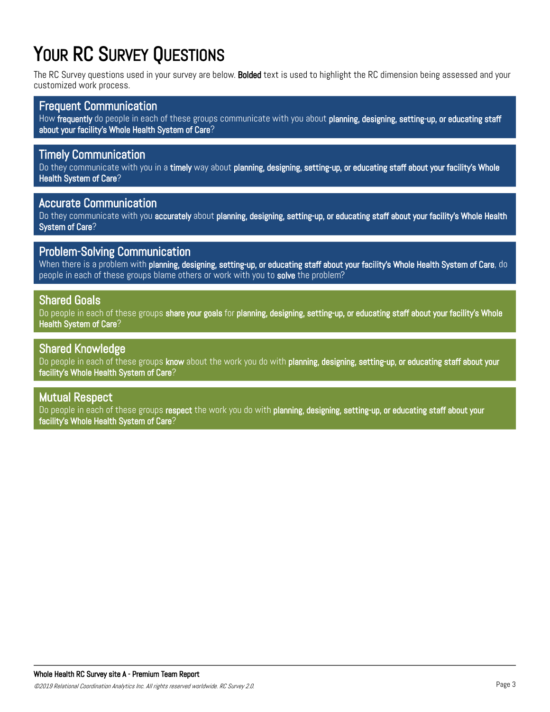# YOUR RC SURVEY QUESTIONS

The RC Survey questions used in your survey are below. Bolded text is used to highlight the RC dimension being assessed and your customized work process.

#### Frequent Communication

How frequently do people in each of these groups communicate with you about planning, designing, setting-up, or educating staff about your facility's Whole Health System of Care?

#### Timely Communication

Do they communicate with you in a timely way about planning, designing, setting-up, or educating staff about your facility's Whole Health System of Care?

#### Accurate Communication

Do they communicate with you accurately about planning, designing, setting-up, or educating staff about your facility's Whole Health System of Care?

#### Problem-Solving Communication

When there is a problem with planning, designing, setting-up, or educating staff about your facility's Whole Health System of Care, do people in each of these groups blame others or work with you to solve the problem?

#### Shared Goals

Do people in each of these groups share your goals for planning, designing, setting-up, or educating staff about your facility's Whole, Health System of Care?

#### Shared Knowledge

Do people in each of these groups know about the work you do with planning, designing, setting-up, or educating staff about your facility's Whole Health System of Care?

#### Mutual Respect

Do people in each of these groups respect the work you do with planning, designing, setting-up, or educating staff about your facility's Whole Health System of Care?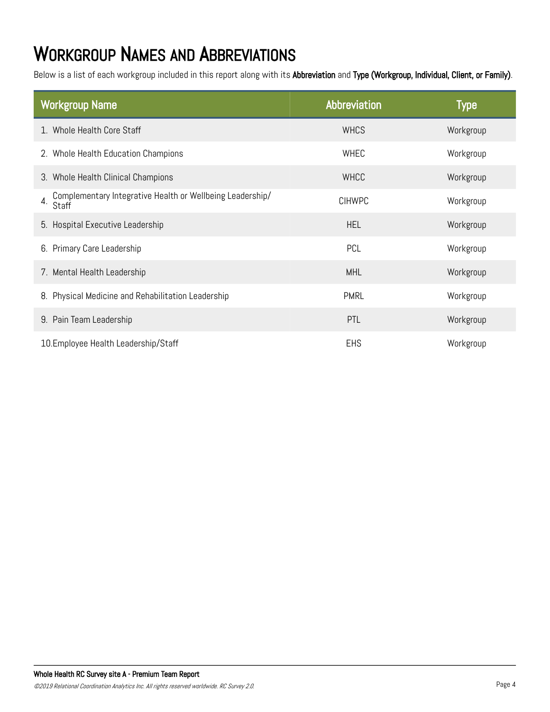# WORKGROUP NAMES AND ABBREVIATIONS

Below is a list of each workgroup included in this report along with its Abbreviation and Type (Workgroup, Individual, Client, or Family).

| <b>Workgroup Name</b>                                                              | Abbreviation  | <b>Type</b> |
|------------------------------------------------------------------------------------|---------------|-------------|
| 1. Whole Health Core Staff                                                         | <b>WHCS</b>   | Workgroup   |
| 2. Whole Health Education Champions                                                | WHEC          | Workgroup   |
| 3. Whole Health Clinical Champions                                                 | <b>WHCC</b>   | Workgroup   |
| Complementary Integrative Health or Wellbeing Leadership/<br>$4. \overline{Staff}$ | <b>CIHWPC</b> | Workgroup   |
| 5. Hospital Executive Leadership                                                   | <b>HEL</b>    | Workgroup   |
| 6. Primary Care Leadership                                                         | PCL           | Workgroup   |
| 7. Mental Health Leadership                                                        | <b>MHL</b>    | Workgroup   |
| 8. Physical Medicine and Rehabilitation Leadership                                 | <b>PMRL</b>   | Workgroup   |
| 9. Pain Team Leadership                                                            | PTL           | Workgroup   |
| 10. Employee Health Leadership/Staff                                               | <b>EHS</b>    | Workgroup   |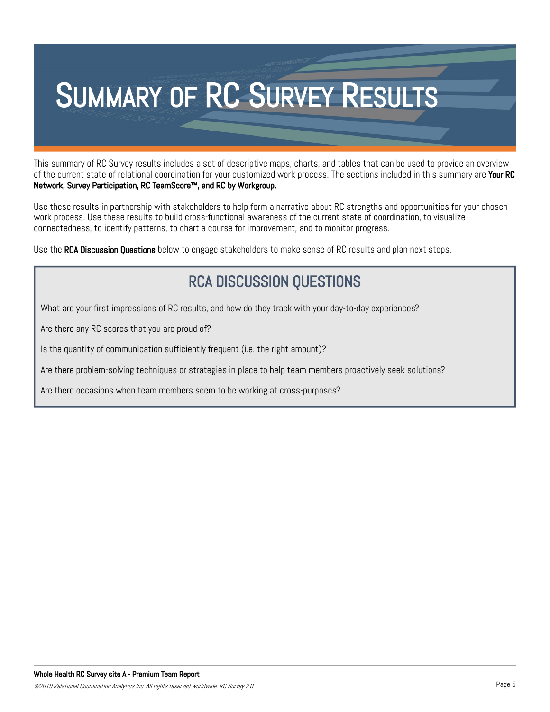

This summary of RC Survey results includes a set of descriptive maps, charts, and tables that can be used to provide an overview of the current state of relational coordination for your customized work process. The sections included in this summary are Your RC Network, Survey Participation, RC TeamScore™, and RC by Workgroup.

Use these results in partnership with stakeholders to help form a narrative about RC strengths and opportunities for your chosen work process. Use these results to build cross-functional awareness of the current state of coordination, to visualize connectedness, to identify patterns, to chart a course for improvement, and to monitor progress.

Use the **RCA Discussion Questions** below to engage stakeholders to make sense of RC results and plan next steps.

#### RCA DISCUSSION QUESTIONS

What are your first impressions of RC results, and how do they track with your day-to-day experiences?

Are there any RC scores that you are proud of?

Is the quantity of communication sufficiently frequent (i.e. the right amount)?

Are there problem-solving techniques or strategies in place to help team members proactively seek solutions?

Are there occasions when team members seem to be working at cross-purposes?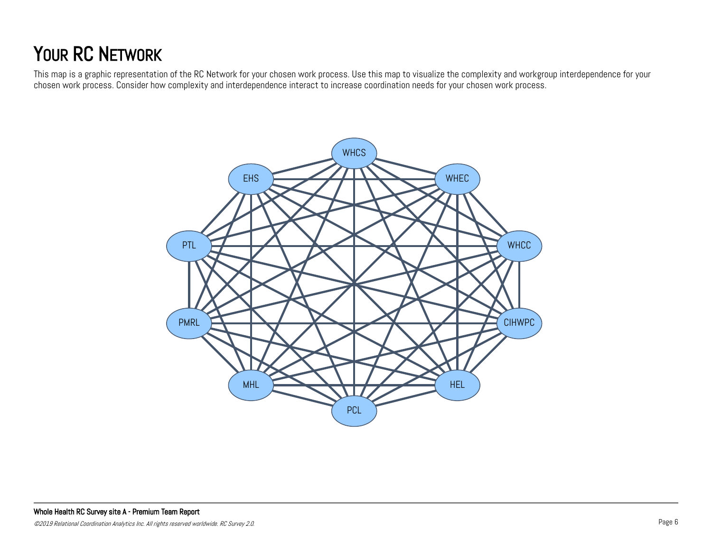# YOUR RC NETWORK

This map is a graphic representation of the RC Network for your chosen work process. Use this map to visualize the complexity and workgroup interdependence for your chosen work process. Consider how complexity and interdependence interact to increase coordination needs for your chosen work process.

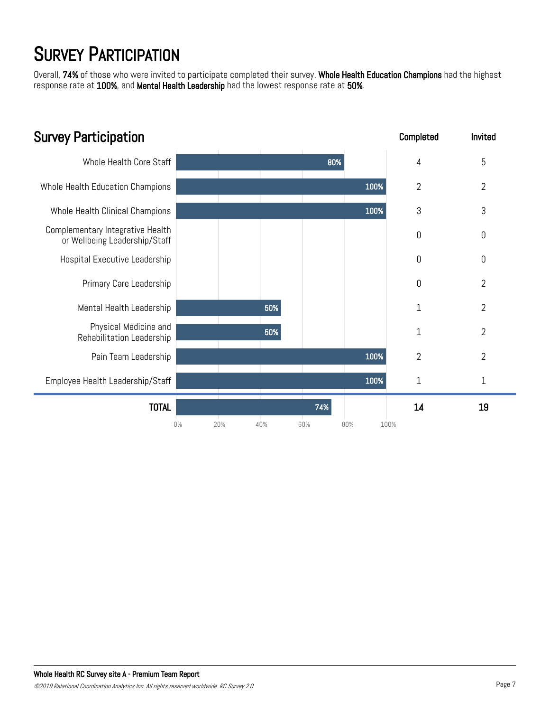# **SURVEY PARTICIPATION**

Overall, 74% of those who were invited to participate completed their survey. Whole Health Education Champions had the highest response rate at 100%, and Mental Health Leadership had the lowest response rate at 50%.

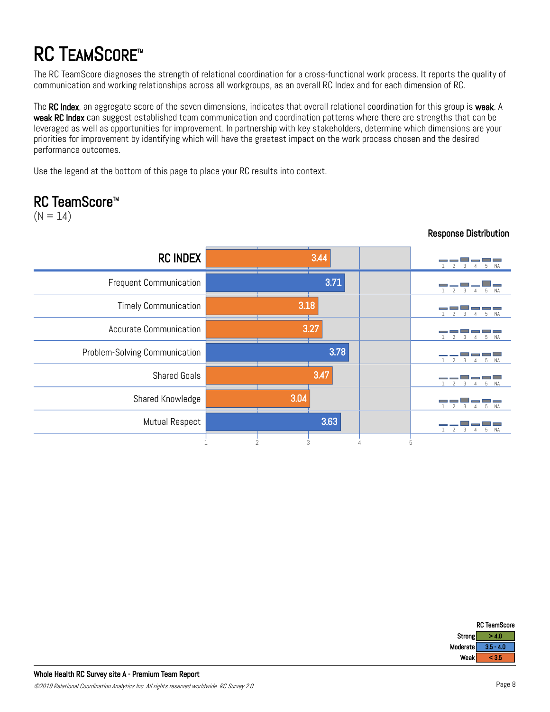# **RC TEAMSCORE™**

The RC TeamScore diagnoses the strength of relational coordination for a cross-functional work process. It reports the quality of communication and working relationships across all workgroups, as an overall RC Index and for each dimension of RC.

The RC Index, an aggregate score of the seven dimensions, indicates that overall relational coordination for this group is weak. A weak RC Index can suggest established team communication and coordination patterns where there are strengths that can be leveraged as well as opportunities for improvement. In partnership with key stakeholders, determine which dimensions are your priorities for improvement by identifying which will have the greatest impact on the work process chosen and the desired performance outcomes.

Use the legend at the bottom of this page to place your RC results into context.

#### RC TeamScore<sup>™</sup>

 $(N = 14)$ 

| <b>RC INDEX</b>               | 3.44 | 5<br>N.A                        |
|-------------------------------|------|---------------------------------|
| <b>Frequent Communication</b> | 3.71 | 5 NA<br>$\mathcal{D}$<br>3<br>4 |
| <b>Timely Communication</b>   | 3.18 | 5 NA                            |
| <b>Accurate Communication</b> | 3.27 | <b>NA</b><br>5                  |
| Problem-Solving Communication | 3.78 | 5 NA<br>4                       |
| <b>Shared Goals</b>           | 3.47 | <b>NA</b><br>5                  |
| Shared Knowledge              | 3.04 | 5 NA<br>4                       |
| Mutual Respect                | 3.63 | 5<br><b>NA</b>                  |
|                               | 3    | 5                               |

#### Response Distribution

|          | <b>RC TeamScore</b> |
|----------|---------------------|
| Strong   | 40                  |
| Moderate | $3.5 - 4.0$         |
| Weak     | c 35                |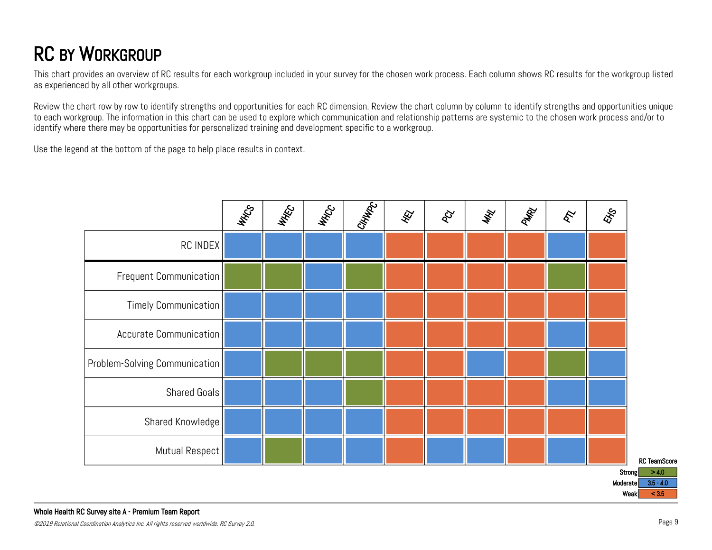# RC BY WORKGROUP

This chart provides an overview of RC results for each workgroup included in your survey for the chosen work process. Each column shows RC results for the workgroup listed as experienced by all other workgroups.

Review the chart row by row to identify strengths and opportunities for each RC dimension. Review the chart column by column to identify strengths and opportunities unique to each workgroup. The information in this chart can be used to explore which communication and relationship patterns are systemic to the chosen work process and/or to identify where there may be opportunities for personalized training and development specific to a workgroup.

Use the legend at the bottom of the page to help place results in context.

|                               | WHOS | WAKE | WHOCC | CHHAPC | 夜 | $\delta$ | WHY | PMRY | $\hat{\mathcal{E}}$ | EXS      |                                |
|-------------------------------|------|------|-------|--------|---|----------|-----|------|---------------------|----------|--------------------------------|
| RC INDEX                      |      |      |       |        |   |          |     |      |                     |          |                                |
| Frequent Communication        |      |      |       |        |   |          |     |      |                     |          |                                |
| Timely Communication          |      |      |       |        |   |          |     |      |                     |          |                                |
| Accurate Communication        |      |      |       |        |   |          |     |      |                     |          |                                |
| Problem-Solving Communication |      |      |       |        |   |          |     |      |                     |          |                                |
| Shared Goals                  |      |      |       |        |   |          |     |      |                     |          |                                |
| Shared Knowledge              |      |      |       |        |   |          |     |      |                     |          |                                |
| Mutual Respect                |      |      |       |        |   |          |     |      |                     |          | <b>RC</b> TeamScore            |
|                               |      |      |       |        |   |          |     |      |                     | Moderate | Strong<br>> 4.0<br>$3.5 - 4.0$ |

Weak  $< 3.5$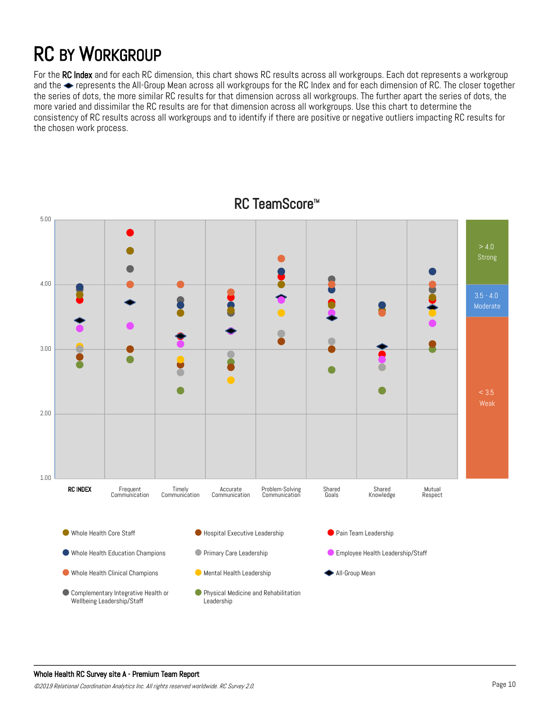# RC BY WORKGROUP

For the RC Index and for each RC dimension, this chart shows RC results across all workgroups. Each dot represents a workgroup and the  $\blacktriangleright$  represents the All-Group Mean across all workgroups for the RC Index and for each dimension of RC. The closer together the series of dots, the more similar RC results for that dimension across all workgroups. The further apart the series of dots, the more varied and dissimilar the RC results are for that dimension across all workgroups. Use this chart to determine the consistency of RC results across all workgroups and to identify if there are positive or negative outliers impacting RC results for the chosen work process.



RC TeamScore<sup>™</sup>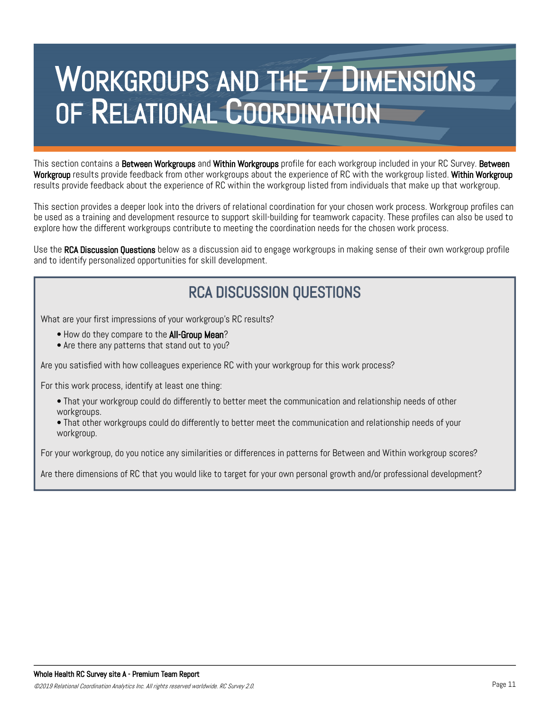This section contains a Between Workgroups and Within Workgroups profile for each workgroup included in your RC Survey. Between Workgroup results provide feedback from other workgroups about the experience of RC with the workgroup listed. Within Workgroup results provide feedback about the experience of RC within the workgroup listed from individuals that make up that workgroup.

This section provides a deeper look into the drivers of relational coordination for your chosen work process. Workgroup profiles can be used as a training and development resource to support skill-building for teamwork capacity. These profiles can also be used to explore how the different workgroups contribute to meeting the coordination needs for the chosen work process.

Use the **RCA Discussion Questions** below as a discussion aid to engage workgroups in making sense of their own workgroup profile and to identify personalized opportunities for skill development.

#### RCA DISCUSSION QUESTIONS

What are your first impressions of your workgroup's RC results?

• How do they compare to the **All-Group Mean**?

• Are there any patterns that stand out to you?

Are you satisfied with how colleagues experience RC with your workgroup for this work process?

For this work process, identify at least one thing:

- That your workgroup could do differently to better meet the communication and relationship needs of other workgroups.
- That other workgroups could do differently to better meet the communication and relationship needs of your workgroup.

For your workgroup, do you notice any similarities or differences in patterns for Between and Within workgroup scores?

Are there dimensions of RC that you would like to target for your own personal growth and/or professional development?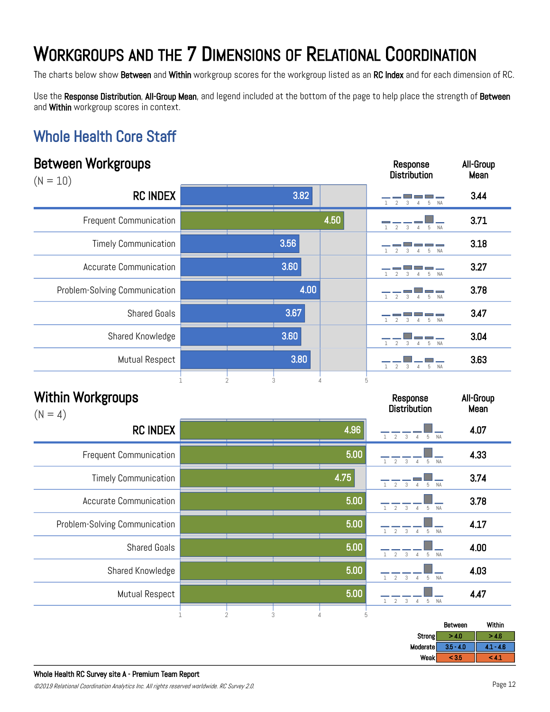The charts below show Between and Within workgroup scores for the workgroup listed as an RC Index and for each dimension of RC.

Use the Response Distribution, All-Group Mean, and legend included at the bottom of the page to help place the strength of Between and Within workgroup scores in context.

Response

All-Group

#### Whole Health Core Staff

| $(N = 10)$                            |             |                |      |                     | <b>Distribution</b>                                                                    | Mean              |
|---------------------------------------|-------------|----------------|------|---------------------|----------------------------------------------------------------------------------------|-------------------|
| <b>RC INDEX</b>                       |             |                | 3.82 |                     | $\overline{2}$<br>5<br>3<br>$\overline{4}$<br><b>NA</b>                                | 3.44              |
| Frequent Communication                |             |                |      | 4.50                | $5^{\circ}$<br><b>NA</b><br>$\mathfrak{D}$<br>3<br>$\overline{A}$                      | 3.71              |
| <b>Timely Communication</b>           |             |                | 3.56 |                     | $\mathfrak{I}$<br>5<br><b>NA</b><br>$\mathcal{L}$<br>$\overline{4}$                    | 3.18              |
| <b>Accurate Communication</b>         |             |                | 3.60 |                     | <b>NA</b><br>5<br>$\varLambda$                                                         | 3.27              |
| Problem-Solving Communication         |             |                | 4.00 |                     | $\mathcal{P}$<br>5                                                                     | 3.78              |
| <b>Shared Goals</b>                   |             |                | 3.67 |                     | 5<br>$\overline{4}$<br><b>NA</b>                                                       | 3.47              |
| Shared Knowledge                      |             |                | 3.60 |                     | $\overline{2}$<br>$5\,$<br><b>NA</b>                                                   | 3.04              |
| Mutual Respect                        |             |                | 3.80 |                     | <b>The State</b><br>$\overline{2}$<br>$\mathbf{3}$<br>$\overline{4}$<br><b>NA</b><br>5 | 3.63              |
| <b>Within Workgroups</b><br>$(N = 4)$ |             | $\overline{2}$ | 3    | 5<br>$\overline{4}$ | Response<br><b>Distribution</b>                                                        | All-Group<br>Mean |
| <b>RC INDEX</b>                       |             |                |      | 4.96                | $1 \t2 \t3 \t4 \t5 \tNA$                                                               | 4.07              |
| <b>Frequent Communication</b>         |             |                |      | 5.00                | $1 \quad 2$<br>$\mathbf{3}$<br>$\overline{4}$<br>5 NA                                  | 4.33              |
| <b>Timely Communication</b>           |             |                |      | 4.75                | $\mathbf{3}$<br>$\sqrt{2}$<br>5<br><b>NA</b><br>$\Delta$                               | 3.74              |
| <b>Accurate Communication</b>         |             |                |      | 5.00                | $\overline{2}$<br>$3 \quad 4$<br>NA<br>1<br>$5 -$                                      | 3.78              |
| Problem-Solving Communication         |             |                |      | 5.00                | $\overline{2}$<br>$_{3}$<br><b>NA</b><br>5<br>$\overline{4}$                           | 4.17              |
| <b>Shared Goals</b>                   |             |                |      | 5.00                | $\sqrt{2}$<br>$_{3}$<br>NA<br>$\overline{4}$<br>5                                      | 4.00              |
| Shared Knowledge                      |             |                |      | 5.00                | $\overline{2}$<br>NA<br>$_{3}$<br>$\overline{4}$<br>5<br>$\mathbf{1}$                  | 4.03              |
| Mutual Respect                        |             |                |      | 5.00                | $\overline{2}$<br>$_{3}$<br>$\mathbf{1}$<br>$\overline{4}$<br>5<br>NA                  | 4.47              |
|                                       | $\mathbf 1$ | $\overline{2}$ | 3    | $\it 4$<br>5        |                                                                                        |                   |

|          | Between     | Within                            |
|----------|-------------|-----------------------------------|
| Strong   | - 10        | $-4.6$                            |
| Moderate | $3.5 - 4.0$ | $-4.6$<br>.                       |
| Weak     | < 3.5       | <b>The Company of the Company</b> |
|          |             |                                   |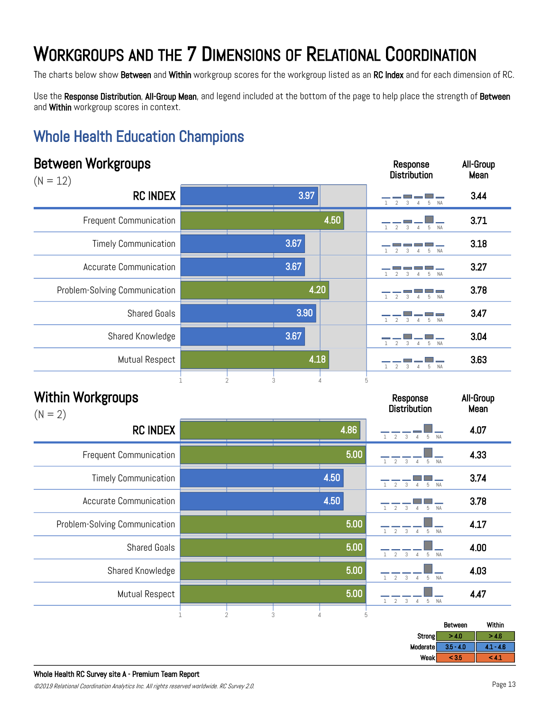The charts below show Between and Within workgroup scores for the workgroup listed as an RC Index and for each dimension of RC.

Use the Response Distribution, All-Group Mean, and legend included at the bottom of the page to help place the strength of Between and Within workgroup scores in context.

#### Whole Health Education Champions

| Between Workgroups<br>$(N = 12)$      |             |                     |      |                     | Response<br><b>Distribution</b>                                    | All-Group<br>Mean |
|---------------------------------------|-------------|---------------------|------|---------------------|--------------------------------------------------------------------|-------------------|
| <b>RC INDEX</b>                       |             |                     | 3.97 |                     | $\Delta$<br>$\overline{5}$                                         | 3.44              |
| <b>Frequent Communication</b>         |             |                     |      | 4.50                | 5<br><b>NA</b><br>$\varDelta$<br>$\mathcal{D}$                     | 3.71              |
| <b>Timely Communication</b>           |             |                     | 3.67 |                     | $\overline{2}$<br>5<br><b>NA</b>                                   | 3.18              |
| <b>Accurate Communication</b>         |             |                     | 3.67 |                     | <b>NA</b><br>5                                                     | 3.27              |
| Problem-Solving Communication         |             |                     | 4.20 |                     | 5<br><b>NA</b>                                                     | 3.78              |
| <b>Shared Goals</b>                   |             |                     | 3.90 |                     | — 1<br>5<br>$\overline{2}$<br>$\overline{4}$<br><b>NA</b><br>3     | 3.47              |
| Shared Knowledge                      |             |                     | 3.67 |                     | $5$ NA<br>$\overline{2}$<br>$\overline{4}$<br>3                    | 3.04              |
| <b>Mutual Respect</b>                 |             |                     | 4.18 |                     | 5<br>$\overline{2}$<br>$\overline{4}$<br><b>NA</b><br>3            | 3.63              |
| <b>Within Workgroups</b><br>$(N = 2)$ |             | $\overline{2}$<br>3 |      | 5                   | Response<br><b>Distribution</b>                                    | All-Group<br>Mean |
| <b>RC INDEX</b>                       |             |                     |      | 4.86                | 1<br>2<br>$\overline{3}$<br>5<br><b>NA</b><br>$\sqrt{ }$           | 4.07              |
| <b>Frequent Communication</b>         |             |                     |      | 5.00                | $\overline{2}$<br>3<br>5<br><b>NA</b><br>$\overline{4}$            | 4.33              |
| <b>Timely Communication</b>           |             |                     |      | 4.50                | 5<br><b>NA</b><br>$\mathfrak{D}$<br>3<br>$\overline{4}$            | 3.74              |
| Accurate Communication                |             |                     |      | 4.50                | $\overline{2}$<br>$\mathbf{1}$<br>3<br>5<br><b>NA</b><br>$\Lambda$ | 3.78              |
| Problem-Solving Communication         |             |                     |      | 5.00                | $1 \qquad 2 \qquad 3 \qquad 4$<br>$5 -$<br><b>NA</b>               | 4.17              |
| <b>Shared Goals</b>                   |             |                     |      | 5.00                | $2^{\circ}$<br>$\mathbf{3}$<br>5 NA<br>$\overline{4}$              | 4.00              |
| Shared Knowledge                      |             |                     |      | 5.00                | $_{3}$<br>5 NA<br>$\overline{2}$<br>$\overline{4}$                 | 4.03              |
| Mutual Respect                        |             |                     |      | 5.00                | $2 \quad 3$<br>$\mathbf{1}$<br>$\overline{4}$<br>5 NA              | 4.47              |
|                                       | $\mathbf 1$ | $\overline{2}$<br>3 |      | 5<br>$\overline{4}$ |                                                                    | Within<br>Between |

|          | Between       | Within                     |
|----------|---------------|----------------------------|
| Strong   | - 10<br>- 4.0 | <b>A</b> 65<br>24.D        |
| Moderate | $3.5 - 4.0$   | $-4.6$                     |
| Weak     | 20E<br>- 3.0  | <b>The State of Street</b> |
|          |               |                            |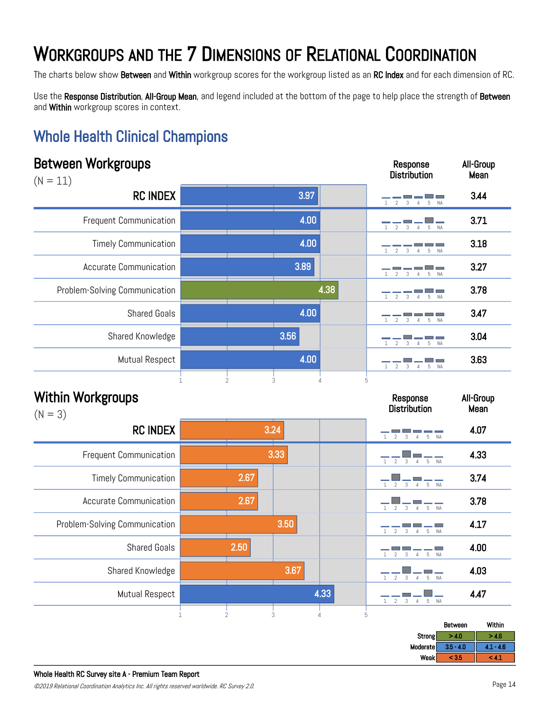The charts below show Between and Within workgroup scores for the workgroup listed as an RC Index and for each dimension of RC.

Use the Response Distribution, All-Group Mean, and legend included at the bottom of the page to help place the strength of Between and Within workgroup scores in context.

Response

All-Group

#### Whole Health Clinical Champions

| $(N = 11)$                            |              |                |      |                     | <b>Distribution</b>                                       | Mean              |
|---------------------------------------|--------------|----------------|------|---------------------|-----------------------------------------------------------|-------------------|
| <b>RC INDEX</b>                       |              |                | 3.97 |                     | $\mathfrak{I}$<br>5 NA<br>$\overline{4}$                  | 3.44              |
| <b>Frequent Communication</b>         |              |                | 4.00 |                     | 5<br>$\mathfrak{D}$<br>$\overline{4}$<br><b>NA</b>        | 3.71              |
| <b>Timely Communication</b>           |              |                | 4.00 |                     | 2<br>3<br>5 NA                                            | 3.18              |
| <b>Accurate Communication</b>         |              |                | 3.89 |                     | 5<br><b>NA</b>                                            | 3.27              |
| Problem-Solving Communication         |              |                |      | 4.38                |                                                           | 3.78              |
| <b>Shared Goals</b>                   |              |                | 4.00 |                     | 2<br>5                                                    | 3.47              |
| Shared Knowledge                      |              |                | 3.56 |                     | $\mathfrak{I}$<br>$\overline{4}$<br>5                     | 3.04              |
| Mutual Respect                        |              |                | 4.00 |                     | $5^{\circ}$<br>$\overline{4}$                             | 3.63              |
| <b>Within Workgroups</b><br>$(N = 3)$ |              |                |      |                     | Response<br><b>Distribution</b>                           | All-Group<br>Mean |
| <b>RC INDEX</b>                       |              | 3.24           |      |                     | 2 <sup>3</sup><br>4 5 NA                                  | 4.07              |
| Frequent Communication                |              |                | 3.33 |                     | 5 NA<br>$\overline{2}$<br>3<br>$\overline{4}$             | 4.33              |
| <b>Timely Communication</b>           |              | 2.67           |      |                     | $\frac{1}{5}$ NA<br>3<br>$\mathfrak{D}$<br>$\overline{4}$ | 3.74              |
| <b>Accurate Communication</b>         |              | 2.67           |      |                     | 5 NA<br>3<br>$\overline{4}$                               | 3.78              |
| Problem-Solving Communication         |              |                | 3.50 |                     | $\mathfrak{I}$<br>3<br>5<br>$\overline{4}$<br><b>NA</b>   | 4.17              |
| <b>Shared Goals</b>                   |              | 2.50           |      |                     | E<br>$\mathfrak{D}$<br>$\overline{3}$<br>5 NA<br>4        | 4.00              |
| Shared Knowledge                      |              |                | 3.67 |                     | <b>NA</b><br>$\overline{2}$<br>3<br>5<br>$\overline{4}$   | 4.03              |
| <b>Mutual Respect</b>                 |              |                |      | 4.33                | NA<br>$\overline{2}$<br>3<br>5<br>$\overline{4}$          | 4.47              |
|                                       | $\mathbf{1}$ | $\overline{2}$ | 3    | $\overline{4}$<br>5 |                                                           | Within<br>Between |

|          | Between     | Within      |
|----------|-------------|-------------|
| Strong   | >4.0        | 4.6         |
| Moderate | $3.5 - 4.0$ | $-4.6$<br>. |
| Weak     | < 3.5       | - 4.1       |
|          |             |             |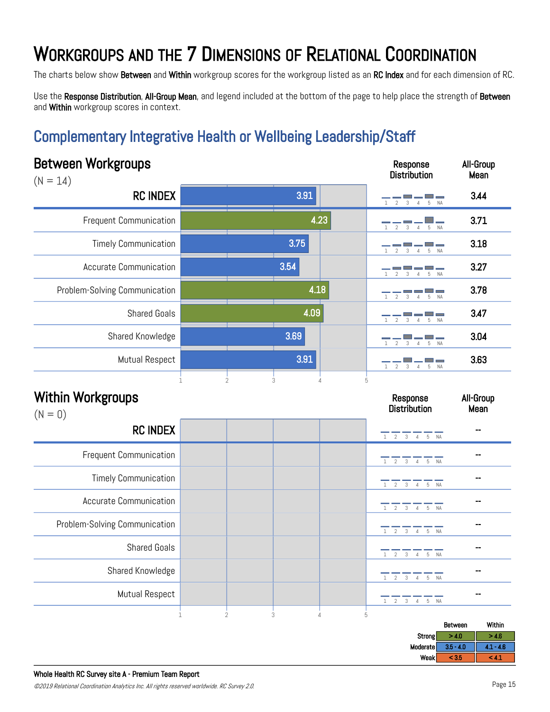The charts below show Between and Within workgroup scores for the workgroup listed as an RC Index and for each dimension of RC.

Use the Response Distribution, All-Group Mean, and legend included at the bottom of the page to help place the strength of Between and Within workgroup scores in context.

#### Complementary Integrative Health or Wellbeing Leadership/Staff

| <b>Between Workgroups</b><br>$(N = 14)$                      |      | Response<br><b>Distribution</b>                                                             | All-Group<br>Mean       |
|--------------------------------------------------------------|------|---------------------------------------------------------------------------------------------|-------------------------|
| <b>RC INDEX</b>                                              | 3.91 | $\mathbf{1}$<br>2<br>3<br>5<br>$\overline{4}$<br><b>NA</b>                                  | 3.44                    |
| <b>Frequent Communication</b>                                | 4.23 | 5<br>$\overline{2}$<br>3<br><b>NA</b>                                                       | 3.71                    |
| <b>Timely Communication</b>                                  | 3.75 | 5<br><b>NA</b>                                                                              | 3.18                    |
| Accurate Communication                                       | 3.54 | <b>NA</b><br>5                                                                              | 3.27                    |
| Problem-Solving Communication                                | 4.18 | $\mathfrak{I}$<br>२<br>5<br>NΔ                                                              | 3.78                    |
| <b>Shared Goals</b>                                          | 4.09 | $\overline{2}$                                                                              | 3.47                    |
| Shared Knowledge                                             | 3.69 | 5<br>3<br>$\overline{4}$<br><b>NA</b>                                                       | 3.04                    |
| Mutual Respect                                               | 3.91 | $\overline{2}$<br>$\overline{4}$<br>3<br>5<br><b>NA</b>                                     | 3.63                    |
|                                                              |      |                                                                                             |                         |
|                                                              |      | Response<br><b>Distribution</b>                                                             | All-Group<br>Mean<br>ш. |
| <b>RC INDEX</b>                                              |      | 1 2 3 4 5 NA                                                                                | --                      |
| <b>Frequent Communication</b><br><b>Timely Communication</b> |      | $\overline{3}$ $\overline{4}$ 5 NA<br>$\overline{2}$<br>$\mathbf{1}$                        | --                      |
| <b>Accurate Communication</b>                                |      | 1 2 3 4 5 NA<br>$\mathbf{1}$<br>2<br>$_{3}$<br>4 5 NA                                       |                         |
| Problem-Solving Communication                                |      | $_{3}$<br>$\overline{2}$<br>4 5 NA<br>$\mathbf{1}$                                          |                         |
| <b>Shared Goals</b>                                          |      | $\mathbf{3}$<br>2<br>$\overline{4}$<br>$\,$ 5 $\,$<br>NA<br>$\mathbf{1}$                    |                         |
| Shared Knowledge                                             |      | $\overline{2}$ $\overline{3}$ $\overline{4}$ $\overline{5}$ $\overline{NA}$<br>$\mathbf{1}$ | --                      |
| <b>Within Workgroups</b><br>$(N = 0)$<br>Mutual Respect      |      | 2 3 4 5 NA<br>$\mathbf{1}$                                                                  | --                      |

|             | Between     | Within      |
|-------------|-------------|-------------|
| Strong      | > 4.0       | - 4.6       |
| Moderate    | $3.5 - 4.0$ | $4.1 - 4.6$ |
| <b>Weak</b> | < 3.5       | - 4.1       |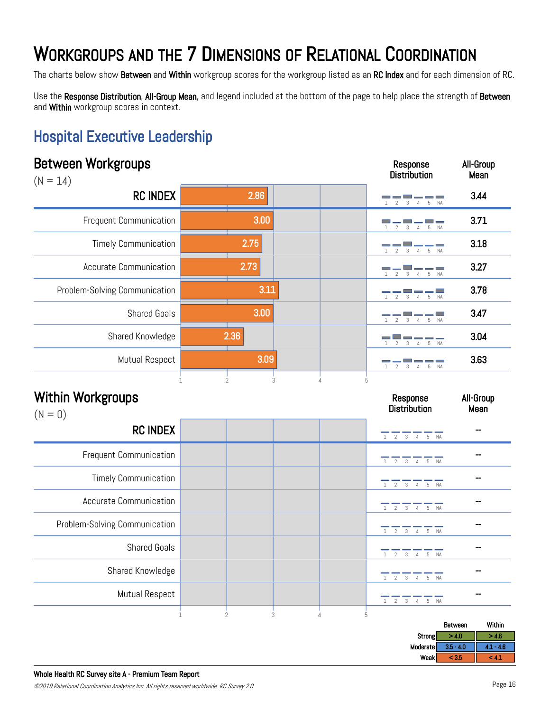The charts below show Between and Within workgroup scores for the workgroup listed as an RC Index and for each dimension of RC.

Use the Response Distribution, All-Group Mean, and legend included at the bottom of the page to help place the strength of Between and Within workgroup scores in context.

Response

All-Group

#### Hospital Executive Leadership

| $(N = 14)$                            |      | <b>Distribution</b>                                          | Mean              |
|---------------------------------------|------|--------------------------------------------------------------|-------------------|
| <b>RC INDEX</b>                       | 2.86 | 5<br>$\varDelta$                                             | 3.44              |
| <b>Frequent Communication</b>         | 3.00 | 2<br>$\overline{4}$<br>$5\,$<br><b>NA</b><br>3               | 3.71              |
| <b>Timely Communication</b>           | 2.75 | 5 NA<br>$\mathfrak{D}$<br>3<br>$\overline{4}$                | 3.18              |
| <b>Accurate Communication</b>         | 2.73 | $\overline{\phantom{a}}$<br>5 NA<br>3<br>$\overline{4}$<br>2 | 3.27              |
| Problem-Solving Communication         | 3.11 | 5<br>$\overline{4}$<br><b>NA</b>                             | 3.78              |
| <b>Shared Goals</b>                   | 3.00 | 5 NA<br>$\mathfrak{D}$<br>3<br>$\overline{4}$                | 3.47              |
| Shared Knowledge                      | 2.36 | 5 NA<br>3<br>$\overline{4}$                                  | 3.04              |
| <b>Mutual Respect</b>                 | 3.09 | 2<br>3<br>$\overline{4}$<br>5 NA                             | 3.63              |
| <b>Within Workgroups</b><br>$(N = 0)$ |      | Response<br><b>Distribution</b>                              | All-Group<br>Mean |
| <b>RC INDEX</b>                       |      | $1 \t2 \t3 \t4 \t5 \tNA$                                     |                   |
| Frequent Communication                |      | 1 2 3 4 5 NA                                                 | --                |
| <b>Timely Communication</b>           |      | 1 2 3 4 5 NA                                                 |                   |
| <b>Accurate Communication</b>         |      | $1 \t2 \t3 \t4 \t5 \tNA$                                     |                   |
| Problem-Solving Communication         |      | 1 2 3 4 5 NA                                                 |                   |
| <b>Shared Goals</b>                   |      | $\overline{2}$<br>$\overline{3}$<br>4 5 NA<br>$\mathbf{1}$   |                   |
| Shared Knowledge                      |      |                                                              |                   |
|                                       |      | $\overline{2}$<br>$\overline{3}$<br>4 5 NA                   |                   |
| <b>Mutual Respect</b>                 |      | $1 \quad 2$<br>$3 \quad 4$<br>5<br>NA                        | --                |

|                 | Between         | Within      |
|-----------------|-----------------|-------------|
| Strong          | $\cdot$ 10<br>. | 4.6         |
| <b>Moderate</b> | $3.5 - 4.0$     | $-4.6$<br>. |
| Weak            | - 3.0           | -4.         |
|                 |                 |             |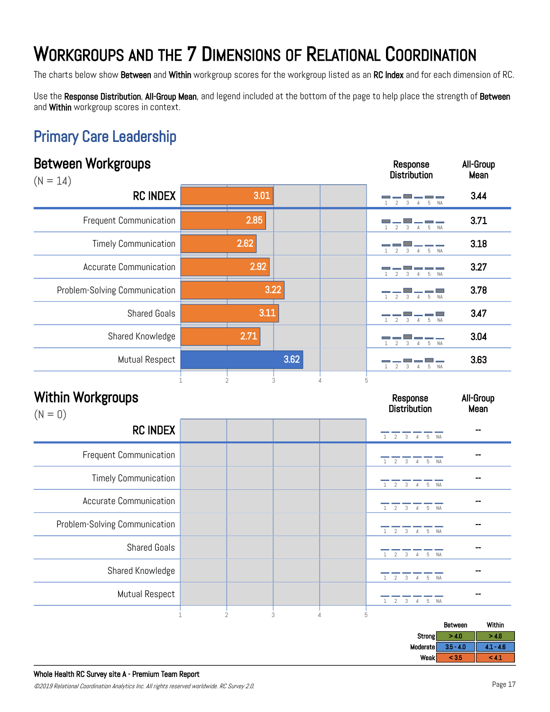The charts below show Between and Within workgroup scores for the workgroup listed as an RC Index and for each dimension of RC.

Use the Response Distribution, All-Group Mean, and legend included at the bottom of the page to help place the strength of Between and Within workgroup scores in context.

Response

All-Group

#### Primary Care Leadership

| ימיי-ייי<br>$(N = 14)$                |                |      | <b>Distribution</b>                                                                  | Mean              |
|---------------------------------------|----------------|------|--------------------------------------------------------------------------------------|-------------------|
| <b>RC INDEX</b>                       | 3.01           |      | 5<br>$\mathcal{L}$<br>$\overline{4}$                                                 | 3.44              |
| <b>Frequent Communication</b>         | 2.85           |      | $\overline{2}$<br>$\overline{4}$<br>5<br>3<br><b>NA</b>                              | 3.71              |
| <b>Timely Communication</b>           | 2.62           |      | $\mathcal{E}$<br>5 NA<br>$\overline{4}$                                              | 3.18              |
| <b>Accurate Communication</b>         | 2.92           |      | 5 NA<br>$\overline{2}$<br>$\mathcal{S}$<br>$\overline{4}$                            | 3.27              |
| Problem-Solving Communication         | 3.22           |      | $\overline{2}$<br>$3 \quad 4$<br>5 NA                                                | 3.78              |
| <b>Shared Goals</b>                   | 3.11           |      | 5 NA<br>$3 \quad 4$                                                                  | 3.47              |
| Shared Knowledge                      | 2.71           |      | 4 5 NA<br>3                                                                          | 3.04              |
| Mutual Respect                        |                | 3.62 | $\overline{4}$<br>5<br><b>NA</b>                                                     | 3.63              |
| <b>Within Workgroups</b><br>$(N = 0)$ | $\overline{2}$ | 3    | 5<br>Response<br><b>Distribution</b>                                                 | All-Group<br>Mean |
| <b>RC INDEX</b>                       |                |      | $1 \t2 \t3 \t4 \t5 \tNA$                                                             |                   |
| <b>Frequent Communication</b>         |                |      | $\frac{1}{1}$ $\frac{1}{2}$ $\frac{1}{3}$ $\frac{1}{4}$ $\frac{1}{5}$ $\frac{1}{NA}$ |                   |
| <b>Timely Communication</b>           |                |      | 1 2 3 4 5 NA                                                                         |                   |
| <b>Accurate Communication</b>         |                |      | $1 \t2 \t3 \t4 \t5 \tNA$                                                             |                   |
| Problem-Solving Communication         |                |      | $\overline{2}$<br>$\mathfrak{Z}$<br>4 5 NA<br>$\mathbf{1}$                           |                   |
| <b>Shared Goals</b>                   |                |      | 3 4 5 NA<br>2<br>$\mathbf{1}$                                                        | --                |
| Shared Knowledge                      |                |      | 2<br>3 4 5 NA<br>1                                                                   | --                |
| Mutual Respect                        |                |      | 1 2 3 4 5 NA                                                                         | $\overline{a}$    |

|          | Between     | Within                   |
|----------|-------------|--------------------------|
| Strong   | > 4.0       | > 4.6                    |
| Moderate | $3.5 - 4.0$ | $-4.6$<br><b>Text</b>    |
| Weak     | < 3.5       | <b>The Second Second</b> |
|          |             |                          |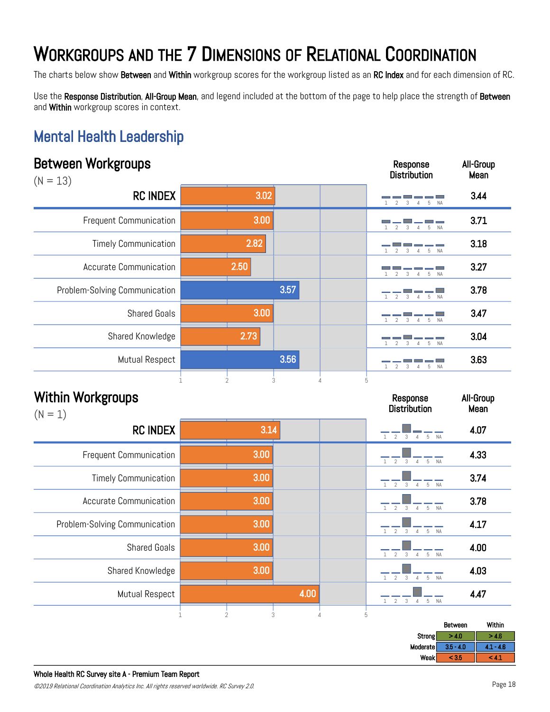The charts below show Between and Within workgroup scores for the workgroup listed as an RC Index and for each dimension of RC.

Use the Response Distribution, All-Group Mean, and legend included at the bottom of the page to help place the strength of Between and Within workgroup scores in context.

#### Mental Health Leadership

| <b>Between Workgroups</b><br>$(N = 13)$ |                                |                     | Response<br><b>Distribution</b>                                                        | All-Group<br>Mean |
|-----------------------------------------|--------------------------------|---------------------|----------------------------------------------------------------------------------------|-------------------|
| <b>RC INDEX</b>                         | 3.02                           |                     |                                                                                        | 3.44              |
| <b>Frequent Communication</b>           | 3.00                           |                     | 5<br>$\mathfrak{D}$<br><b>NA</b>                                                       | 3.71              |
| <b>Timely Communication</b>             | 2.82                           |                     | NA                                                                                     | 3.18              |
| <b>Accurate Communication</b>           | 2.50                           |                     | $\mathfrak{D}$<br><b>NA</b><br>3<br>5<br>$\overline{4}$                                | 3.27              |
| Problem-Solving Communication           |                                | 3.57                | $\mathfrak{D}$<br><b>NA</b><br>5                                                       | 3.78              |
| <b>Shared Goals</b>                     | 3.00                           |                     | NA                                                                                     | 3.47              |
| Shared Knowledge                        | 2.73                           |                     | 5<br><b>NA</b>                                                                         | 3.04              |
| Mutual Respect                          |                                | 3.56                | $\mathfrak{D}$<br>२                                                                    | 3.63              |
| <b>Within Workgroups</b><br>$(N = 1)$   | $\overline{2}$<br>$\mathbf{1}$ | 3<br>$\overline{4}$ | 5<br>Response<br><b>Distribution</b>                                                   | All-Group<br>Mean |
| <b>RC INDEX</b>                         |                                | 3.14                | $1 \quad 2$<br>3<br>5 NA<br>$\overline{4}$                                             | 4.07              |
| <b>Frequent Communication</b>           | 3.00                           |                     | $_{3}$<br>$\overline{2}$<br>5<br><b>NA</b><br>$\overline{4}$                           | 4.33              |
| <b>Timely Communication</b>             | 3.00                           |                     | $\overline{2}$<br>$\mathbf{1}$<br>$_{3}$<br>$5-5$<br><b>NA</b><br>$\overline{4}$       | 3.74              |
| Accurate Communication                  | 3.00                           |                     | $2 \overline{3}$<br>$\mathbf{1}$<br>5 NA<br>$\overline{4}$                             | 3.78              |
| Problem-Solving Communication           | 3.00                           |                     | $\overline{2}$<br>3<br>4 5 NA<br>$\mathbf{1}$                                          | 4.17              |
| <b>Shared Goals</b>                     | 3.00                           |                     | 1 2 3 4 5 NA                                                                           | 4.00              |
| Shared Knowledge                        | 3.00                           |                     | $\overline{2}$<br>$\mathbf{3}$<br>$5\,$<br>$\mathbf{1}$<br><b>NA</b><br>$\overline{4}$ | 4.03              |
| Mutual Respect                          |                                | 4.00                | $\mathbf{3}$<br>$\overline{2}$<br>$5\phantom{.0}$<br>NA<br>$\overline{4}$<br>1         | 4.47              |
|                                         | $\mathbf{2}$<br>1              | 3<br>$\sqrt{4}$     | 5                                                                                      | Within<br>Between |

|          | Between                    | Within        |
|----------|----------------------------|---------------|
| Strong   | >4.0                       | $-4.6$        |
| Moderate | $3.5 - 4.0$                | $-4.6$<br>. . |
| Weak     | $\alpha$ $\sigma$<br>- 3.0 | -44           |
|          |                            |               |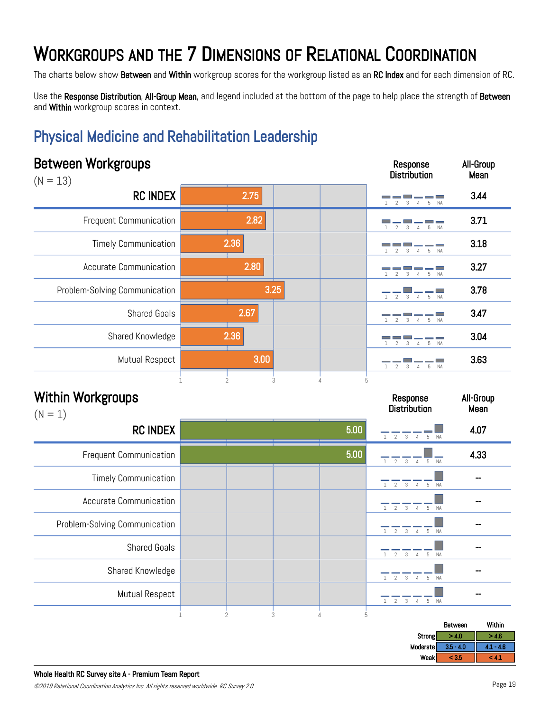The charts below show Between and Within workgroup scores for the workgroup listed as an RC Index and for each dimension of RC.

Use the Response Distribution, All-Group Mean, and legend included at the bottom of the page to help place the strength of Between and Within workgroup scores in context.

#### Physical Medicine and Rehabilitation Leadership

| <b>Between Workgroups</b><br>$(N = 13)$ |      | Response<br><b>Distribution</b>       | All-Group<br>Mean |
|-----------------------------------------|------|---------------------------------------|-------------------|
| <b>RC INDEX</b>                         | 2.75 | 5<br><b>NA</b><br>Δ                   | 3.44              |
| Frequent Communication                  | 2.82 | 5<br><b>NA</b>                        | 3.71              |
| <b>Timely Communication</b>             | 2.36 | 5 NA<br>4                             | 3.18              |
| <b>Accurate Communication</b>           | 2.80 | $\mathfrak{D}$<br>3<br>5<br><b>NA</b> | 3.27              |
| Problem-Solving Communication           | 3.25 | $1 \quad 2$<br>3 4 5 NA               | 3.78              |
| <b>Shared Goals</b>                     | 2.67 | <b>NA</b><br>5                        | 3.47              |
| Shared Knowledge                        | 2.36 | 5 NA                                  | 3.04              |
| Mutual Respect                          | 3.00 | 5<br><b>NA</b><br>3                   | 3.63              |
|                                         | 3    |                                       |                   |

| $(N = 1)$                     |                     |      |                                               |      |
|-------------------------------|---------------------|------|-----------------------------------------------|------|
| <b>RC INDEX</b>               |                     | 5.00 | $2 \quad 3 \quad 4$<br>5 NA                   | 4.07 |
| Frequent Communication        |                     | 5.00 | $2 \quad 3$<br>$\overline{4}$<br>5 NA         | 4.33 |
| <b>Timely Communication</b>   |                     |      | $1 \quad 2 \quad 3$<br>5 NA<br>$\overline{4}$ |      |
| <b>Accurate Communication</b> |                     |      | $2 \quad 3$<br>5 NA<br>$\overline{4}$         |      |
| Problem-Solving Communication |                     |      | 1 2 3 4 5 NA                                  | --   |
| <b>Shared Goals</b>           |                     |      | 3<br>5 NA<br>$\mathfrak{D}$                   |      |
| Shared Knowledge              |                     |      | 3<br>2<br>5 NA<br>$\overline{4}$              |      |
| <b>Mutual Respect</b>         |                     |      | 3<br>2<br>5 NA<br>$\overline{4}$              |      |
|                               | $\overline{2}$<br>3 | 5    |                                               |      |

| Strong<br>> 4.0<br>$-4.6$                |  |
|------------------------------------------|--|
| <b>Moderate</b><br>$3.5 - 4.0$<br>$-4.6$ |  |
| Weakl<br>${}< 3.5$<br>-42                |  |

Response **Distribution**  All-Group Mean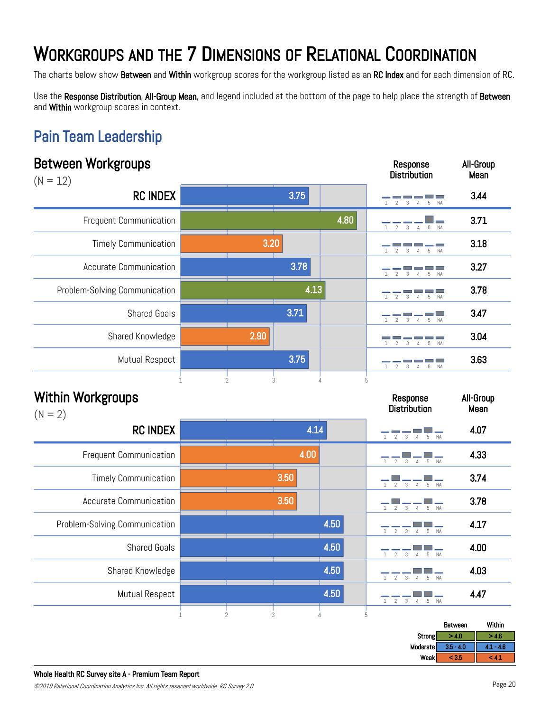The charts below show Between and Within workgroup scores for the workgroup listed as an RC Index and for each dimension of RC.

Use the Response Distribution, All-Group Mean, and legend included at the bottom of the page to help place the strength of Between and Within workgroup scores in context.

#### Pain Team Leadership

| <b>Between Workgroups</b><br>$(N = 12)$ |   |                |      |                               | Response<br><b>Distribution</b>                                                                                        | All-Group<br>Mean |
|-----------------------------------------|---|----------------|------|-------------------------------|------------------------------------------------------------------------------------------------------------------------|-------------------|
| <b>RC INDEX</b>                         |   |                | 3.75 |                               | $\overline{4}$<br>5                                                                                                    | 3.44              |
| <b>Frequent Communication</b>           |   |                |      | 4.80                          | $\mathfrak{I}$<br>$5^{\circ}$<br><b>NA</b>                                                                             | 3.71              |
| <b>Timely Communication</b>             |   | 3.20           |      |                               | $\overline{2}$<br>5<br><b>NA</b>                                                                                       | 3.18              |
| <b>Accurate Communication</b>           |   |                | 3.78 |                               | $F_1$                                                                                                                  | 3.27              |
| Problem-Solving Communication           |   |                | 4.13 |                               | <b>NA</b><br>5                                                                                                         | 3.78              |
| <b>Shared Goals</b>                     |   |                | 3.71 |                               | an Bara<br>$\overline{2}$<br>5<br><b>NA</b><br>$\overline{4}$                                                          | 3.47              |
| Shared Knowledge                        |   | 2.90           |      |                               | 5<br><b>NA</b>                                                                                                         | 3.04              |
| Mutual Respect                          |   |                | 3.75 |                               | <b>NA</b><br>$\mathcal{D}$<br>$\overline{4}$<br>-5                                                                     | 3.63              |
| <b>Within Workgroups</b><br>$(N = 2)$   |   | $\overline{2}$ | 3    | $\Delta$                      | 5<br>Response<br><b>Distribution</b>                                                                                   | All-Group<br>Mean |
| <b>RC INDEX</b>                         |   |                | 4.14 |                               | 5 NA<br>3                                                                                                              | 4.07              |
| <b>Frequent Communication</b>           |   |                | 4.00 |                               | $\overline{2}$<br><b>NA</b><br>3<br>5                                                                                  | 4.33              |
| <b>Timely Communication</b>             |   |                | 3.50 |                               | 5<br><b>NA</b><br>3<br>$\overline{4}$                                                                                  | 3.74              |
| <b>Accurate Communication</b>           |   |                | 3.50 |                               | 5 NA<br>$\overline{2}$<br>3<br>$\overline{4}$                                                                          | 3.78              |
| Problem-Solving Communication           |   |                |      | 4.50                          | $\begin{array}{c c c c c} \hline \quad & \quad & \quad & \quad \\ \hline 4 & 5 & \text{NA} \end{array}$<br>$2 \quad 3$ | 4.17              |
| <b>Shared Goals</b>                     |   |                |      | 4.50                          | 4 5 NA<br>$\overline{2}$<br>3                                                                                          | 4.00              |
| Shared Knowledge                        |   |                |      | 4.50                          | $\overline{2}$<br>$_{3}$<br>5<br>$\overline{4}$<br><b>NA</b>                                                           | 4.03              |
| <b>Mutual Respect</b>                   |   |                |      | 4.50                          | $\overline{2}$<br>$\mathbf{3}$<br>$\mathbf{1}$<br>5<br>$\overline{4}$<br>NA                                            | 4.47              |
|                                         | 1 | $\overline{2}$ | 3    | $\,$ 5 $\,$<br>$\overline{4}$ |                                                                                                                        | Within<br>Between |

|             | Between     | Within       |
|-------------|-------------|--------------|
| Strong      | > 4.0       | - 4.0        |
| Moderate    | $3.5 - 4.0$ | $4.1 - 4.6$  |
| <b>Weak</b> | < 3.5       | <b>TABLE</b> |
|             |             |              |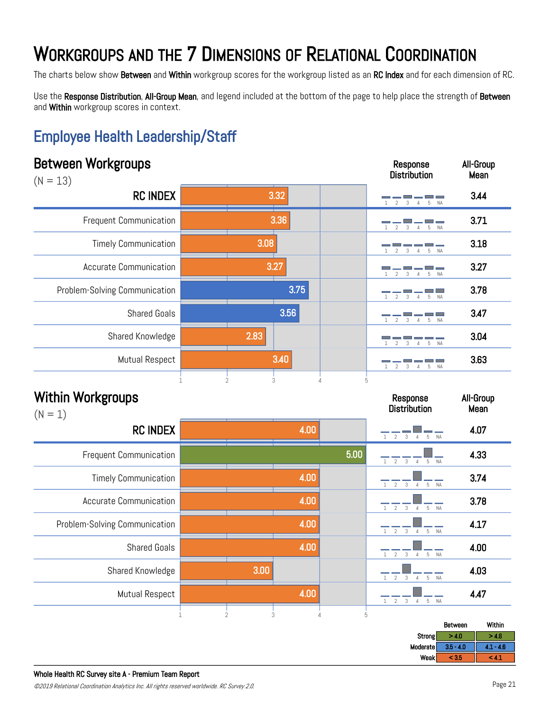The charts below show Between and Within workgroup scores for the workgroup listed as an RC Index and for each dimension of RC.

Use the Response Distribution, All-Group Mean, and legend included at the bottom of the page to help place the strength of Between and Within workgroup scores in context.

#### Employee Health Leadership/Staff

#### Between Workgroups  $(N = 13)$ Response **Distribution** All-Group Mean RC INDEX 3.44 Frequent Communication  $\begin{array}{|c|c|c|c|c|}\n\hline\n1 & 2 & 3 & 4 & 5 & 3.71\n\end{array}$ Timely Communication **2.08** 3.08 **1.13 1.18 1.18 1.18** Accurate Communication  $\begin{array}{|c|c|c|c|c|c|}\n\hline\n1 & 2 & 3 & 4 & 5 & 3.27\n\end{array}$ Problem-Solving Communication  $\begin{array}{|c|c|c|c|c|c|}\n\hline\n- & - & - & \rightarrow & - & \rightarrow & \rightarrow & \rightarrow \mathbb{Z} \n\hline\n\end{array}$  3.78 Shared Goals  $\begin{array}{|c|c|c|c|c|}\hline \text{S} & \text{S} & \text{S} & \text{S} & \text{S} & \text{S} & \text{S} & \text{S} & \text{S} & \text{S} & \text{S} & \text{S} & \text{S} & \text{S} & \text{S} & \text{S} & \text{S} & \text{S} & \text{S} & \text{S} & \text{S} & \text{S} & \text{S} & \text{S} & \text{S} & \text{S} & \text{S} & \text{S} & \text{S} & \text{S} & \text{S} & \text$ Shared Knowledge **3.04**  $\overline{a}$   $\overline{a}$   $\overline{a}$   $\overline{a}$   $\overline{a}$   $\overline{a}$   $\overline{a}$   $\overline{a}$   $\overline{a}$   $\overline{a}$   $\overline{a}$   $\overline{a}$   $\overline{a}$   $\overline{a}$   $\overline{a}$   $\overline{a}$   $\overline{a}$   $\overline{a}$   $\overline{a}$   $\overline{a}$   $\overline{a}$   $\overline{a}$ Mutual Respect **3.63**<br>2.63 Within Workgroups  $(N = 1)$ Response **Distribution** All-Group Mean **RC INDEX** 2.00  $\frac{4.00}{12}$   $\frac{4.00}{34}$   $\frac{4.07}{5 N_A}$  4.07 Frequent Communication 4.33 Timely Communication  $\begin{array}{|c|c|c|c|c|}\n\hline\n1 & 2 & 3 & 4 & 5 & 3.74\n\end{array}$ Accurate Communication  $\begin{array}{|c|c|c|c|c|c|}\n\hline\n & - & - & \frac{\sqrt{3}}{1} & \frac{\sqrt{3}}{2} & \frac{\sqrt{3}}{1} & \frac{\sqrt{3}}{1} & \frac{\sqrt{3}}{1} & \frac{\sqrt{3}}{1} & \frac{\sqrt{3}}{1} & \frac{\sqrt{3}}{1} & \frac{\sqrt{3}}{1} & \frac{\sqrt{3}}{1} & \frac{\sqrt{3}}{1} & \frac{\sqrt{3}}{1} & \frac{\sqrt{3}}{1} & \frac{\sqrt{3}}{1} & \frac{\sqrt{3}}{1} & \frac{\$ Problem-Solving Communication  $\begin{array}{|c|c|c|c|c|}\n\hline\n1 & 2 & 3 & 4 & 5 & 4 \ \hline\n1 & 2 & 3 & 4 & 5 & 4 \ \hline\n1 & 2 & 3 & 4 & 5 & 4 \ \hline\n1 & 2 & 3 & 4 & 5 & 4 \ \hline\n2 & 2 & 3 & 4 & 5 & 4 \ \hline\n3 & 2 & 3 & 4 & 5 & 4 \ \hline\n3 & 2 & 3 & 4 & 5 & 4 \ \hline\n4 & 2 & 3 & 4 & 5 & 4 \ \hline\n$ 3.32  $\frac{1}{2}$   $\frac{1}{3}$   $\frac{1}{4}$   $\frac{1}{5}$  NA 3.36  $\overline{5}$  NA 3.08  $\frac{1}{2}$   $\frac{1}{3}$   $\frac{1}{4}$   $\frac{1}{5}$  NA 3.27  $\frac{1}{3}$   $\frac{1}{4}$   $\frac{1}{5}$  NA 3.75  $\frac{1}{4}$   $\frac{1}{5}$  NA 3.56 1 2 3 4 5 NA 2.83 2 3 4 5 NA 3.40 1 2 3 4 5 4.00 5.00  $\frac{1}{1}$   $\frac{1}{2}$   $\frac{3}{4}$   $\frac{4}{5}$  NA 4.00  $\frac{1}{5}$  NA 4.00  $\frac{1}{5}$  NA 4.00  $NA$

| Shared Goals     |      | 4.00 |   | 5 NA<br>- 3<br>$\sim$ 2 |             | 4.00        |
|------------------|------|------|---|-------------------------|-------------|-------------|
| Shared Knowledge | 3.00 |      |   | 3<br>5                  | <b>NA</b>   | 4.03        |
| Mutual Respect   |      | 4.00 |   | 3<br>5 NA               |             | 4.47        |
|                  | 3    |      | b |                         | Between     | Within      |
|                  |      |      |   | Strong                  | > 4.0       | > 4.6       |
|                  |      |      |   | Moderate                | $3.5 - 4.0$ | $4.1 - 4.6$ |
|                  |      |      |   | Weak                    | < 3.5       | < 4.1       |

 $\overline{10}$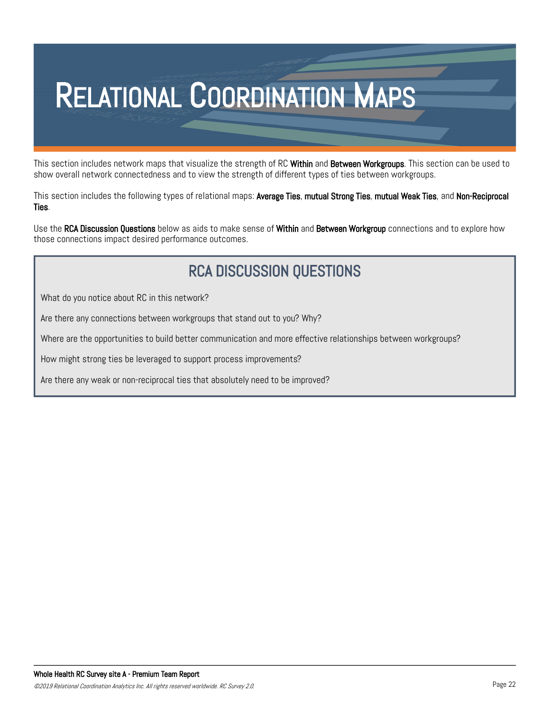# RELATIONAL COORDINATION MAPS

This section includes network maps that visualize the strength of RC Within and Between Workgroups. This section can be used to show overall network connectedness and to view the strength of different types of ties between workgroups.

This section includes the following types of relational maps: Average Ties, mutual Strong Ties, mutual Weak Ties, and Non-Reciprocal Ties.

Use the RCA Discussion Questions below as aids to make sense of Within and Between Workgroup connections and to explore how those connections impact desired performance outcomes.

#### RCA DISCUSSION QUESTIONS

What do you notice about RC in this network?

Are there any connections between workgroups that stand out to you? Why?

Where are the opportunities to build better communication and more effective relationships between workgroups?

How might strong ties be leveraged to support process improvements?

Are there any weak or non-reciprocal ties that absolutely need to be improved?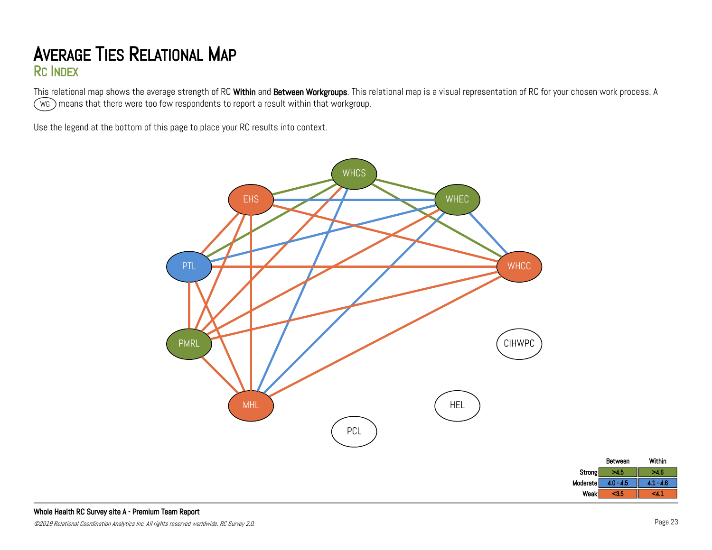#### AVERAGE TIES RELATIONAL MAP RC INDEX

This relational map shows the average strength of RC Within and Between Workgroups. This relational map is a visual representation of RC for your chosen work process. A wG ) means that there were too few respondents to report a result within that workgroup.

Use the legend at the bottom of this page to place your RC results into context.



Between Within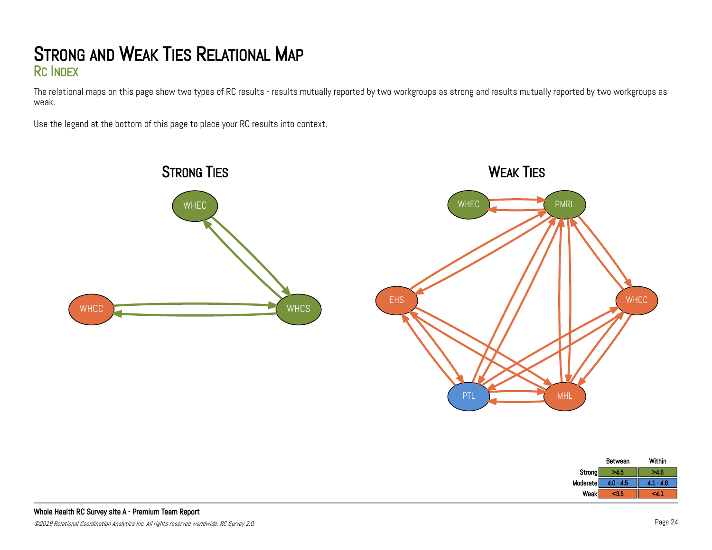#### STRONG AND WEAK TIES RELATIONAL MAP RC INDEX

The relational maps on this page show two types of RC results - results mutually reported by two workgroups as strong and results mutually reported by two workgroups as weak.

Use the legend at the bottom of this page to place your RC results into context.



|          | Between     | Within |
|----------|-------------|--------|
| Strong   | >4.5        | >4.6   |
| Moderate | $4.0 - 4.5$ | .      |
| Weak     | $3.5$       | ∼      |
|          |             |        |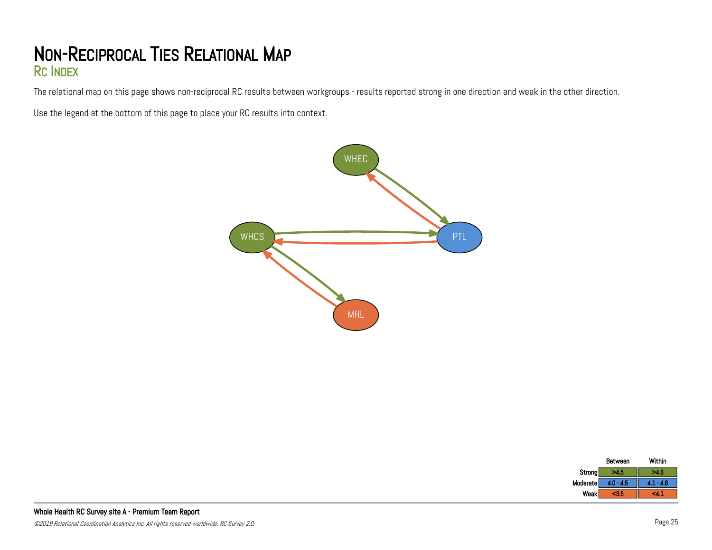#### NON-RECIPROCAL TIES RELATIONAL MAP RC INDEX

The relational map on this page shows non-reciprocal RC results between workgroups - results reported strong in one direction and weak in the other direction.

Use the legend at the bottom of this page to place your RC results into context.



|          | Between     | Within      |
|----------|-------------|-------------|
| Strong   | <b>NO-</b>  | 4 R         |
| Moderate | $4.0 - 4.5$ | $4.1 - 4.6$ |
| Weak     | <b>GA</b>   |             |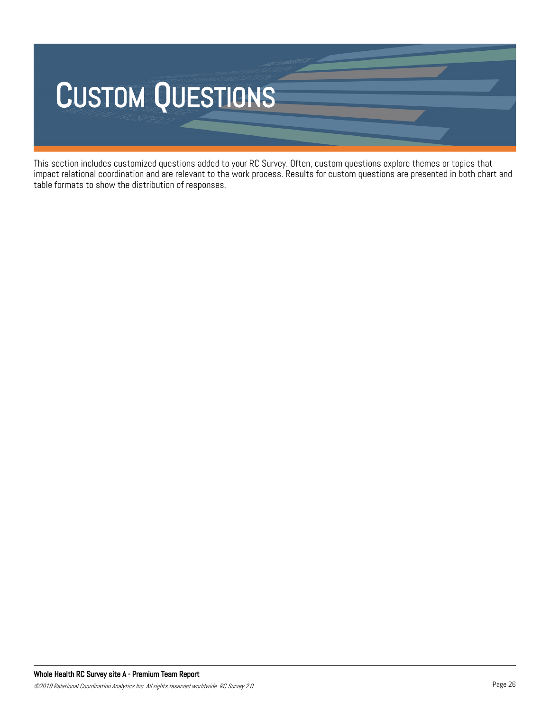

This section includes customized questions added to your RC Survey. Often, custom questions explore themes or topics that impact relational coordination and are relevant to the work process. Results for custom questions are presented in both chart and table formats to show the distribution of responses.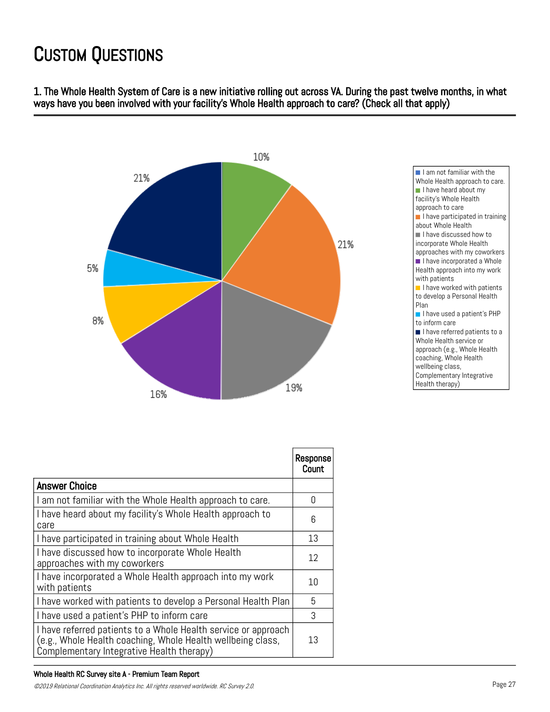1. The Whole Health System of Care is a new initiative rolling out across VA. During the past twelve months, in what ways have you been involved with your facility's Whole Health approach to care? (Check all that apply)



|                                                                                                                                                                            | Response<br>Count |
|----------------------------------------------------------------------------------------------------------------------------------------------------------------------------|-------------------|
| <b>Answer Choice</b>                                                                                                                                                       |                   |
| I am not familiar with the Whole Health approach to care.                                                                                                                  | U                 |
| I have heard about my facility's Whole Health approach to<br>care                                                                                                          | 6                 |
| I have participated in training about Whole Health                                                                                                                         | 13                |
| I have discussed how to incorporate Whole Health<br>approaches with my coworkers                                                                                           | 12                |
| I have incorporated a Whole Health approach into my work<br>with patients                                                                                                  | 10                |
| I have worked with patients to develop a Personal Health Plan                                                                                                              | 5                 |
| I have used a patient's PHP to inform care                                                                                                                                 | 3                 |
| I have referred patients to a Whole Health service or approach<br>(e.g., Whole Health coaching, Whole Health wellbeing class,<br>Complementary Integrative Health therapy) | 13                |

#### Whole Health RC Survey site A - Premium Team Report

©2019 Relational Coordination Analytics Inc. All rights reserved worldwide. RC Survey 2.0. Page 27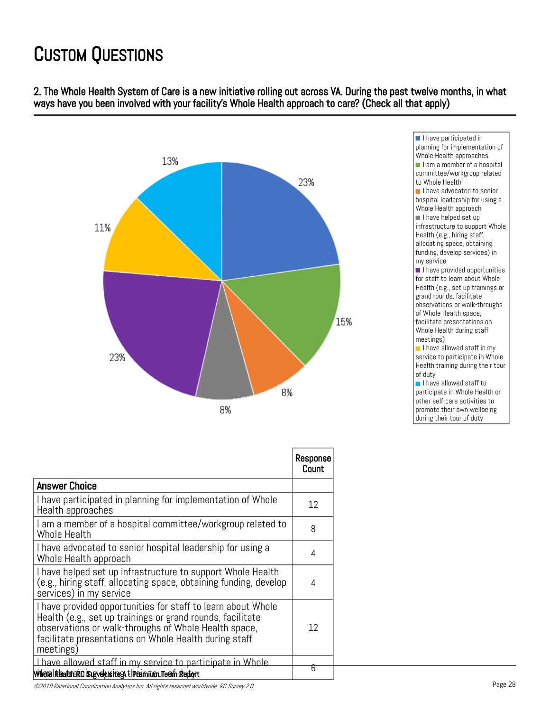2. The Whole Health System of Care is a new initiative rolling out across VA. During the past twelve months, in what ways have you been involved with your facility's Whole Health approach to care? (Check all that apply)



|                                                                                                                                                                                                                                                          | Response<br>Count |
|----------------------------------------------------------------------------------------------------------------------------------------------------------------------------------------------------------------------------------------------------------|-------------------|
| <b>Answer Choice</b>                                                                                                                                                                                                                                     |                   |
| I have participated in planning for implementation of Whole<br>Health approaches                                                                                                                                                                         | 12                |
| I am a member of a hospital committee/workgroup related to<br>Whole Health                                                                                                                                                                               | 8                 |
| I have advocated to senior hospital leadership for using a<br>Whole Health approach                                                                                                                                                                      | 4                 |
| I have helped set up infrastructure to support Whole Health<br>(e.g., hiring staff, allocating space, obtaining funding, develop<br>services) in my service                                                                                              | 4                 |
| I have provided opportunities for staff to learn about Whole<br>Health (e.g., set up trainings or grand rounds, facilitate<br>observations or walk-throughs of Whole Health space,<br>facilitate presentations on Whole Health during staff<br>meetings) | 12                |
| I have allowed staff in my service to participate in Whole.                                                                                                                                                                                              | চ                 |
| Whele Helatureria isugvelyusitega t Ineximit.cou Team deutort                                                                                                                                                                                            |                   |

I have participated in planning for implementation of Whole Health approaches I am a member of a hospital committee/workgroup related to Whole Health I have advocated to senior hospital leadership for using a Whole Health approach I have helped set up infrastructure to support Whole Health (e.g., hiring staff, allocating space, obtaining funding, develop services) in my service I have provided opportunities for staff to learn about Whole Health (e.g., set up trainings or grand rounds, facilitate observations or walk-throughs of Whole Health space, facilitate presentations on Whole Health during staff meetings) I have allowed staff in my

service to participate in Whole Health training during their tour of duty

I have allowed staff to participate in Whole Health or other self-care activities to promote their own wellbeing during their tour of duty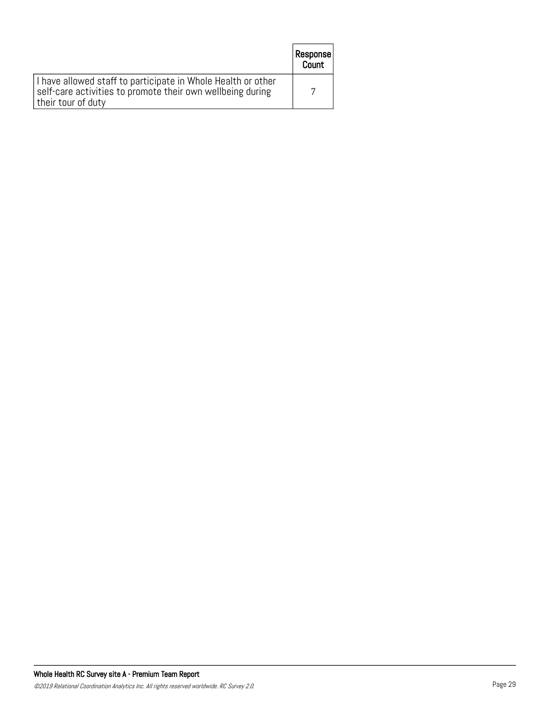|                                                                                                                                                  | Response  <br>Count |
|--------------------------------------------------------------------------------------------------------------------------------------------------|---------------------|
| I have allowed staff to participate in Whole Health or other<br>self-care activities to promote their own wellbeing during<br>their tour of duty |                     |

L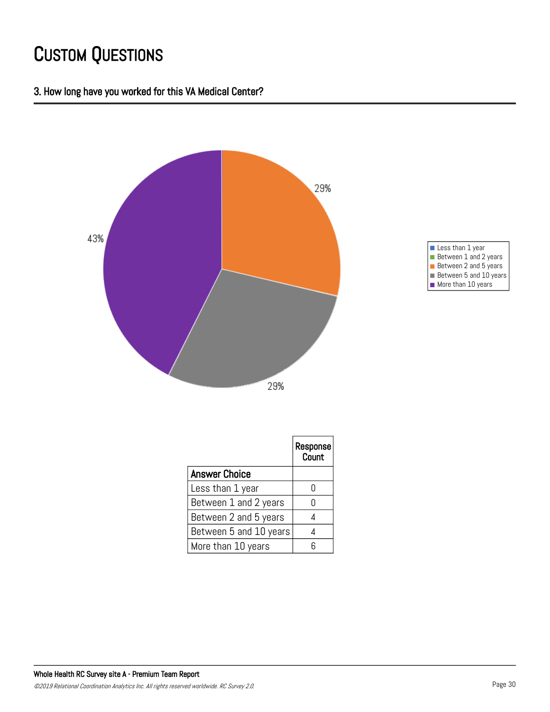#### 3. How long have you worked for this VA Medical Center?





|                        | Response<br>Count |
|------------------------|-------------------|
| <b>Answer Choice</b>   |                   |
| Less than 1 year       |                   |
| Between 1 and 2 years  |                   |
| Between 2 and 5 years  |                   |
| Between 5 and 10 years |                   |
| More than 10 years     |                   |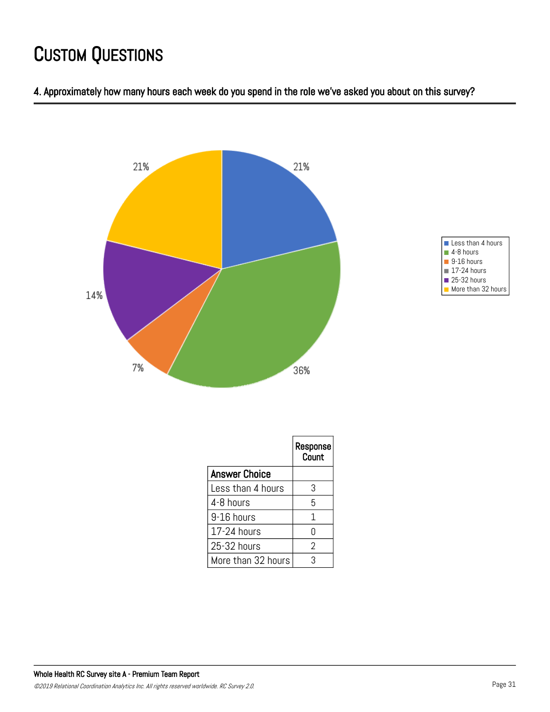





|                      | Response<br>Count |
|----------------------|-------------------|
| <b>Answer Choice</b> |                   |
| Less than 4 hours    | 3                 |
| 4-8 hours            | 5                 |
| 9-16 hours           | 1                 |
| 17-24 hours          | Λ                 |
| 25-32 hours          | 2                 |
| More than 32 hours   | 3                 |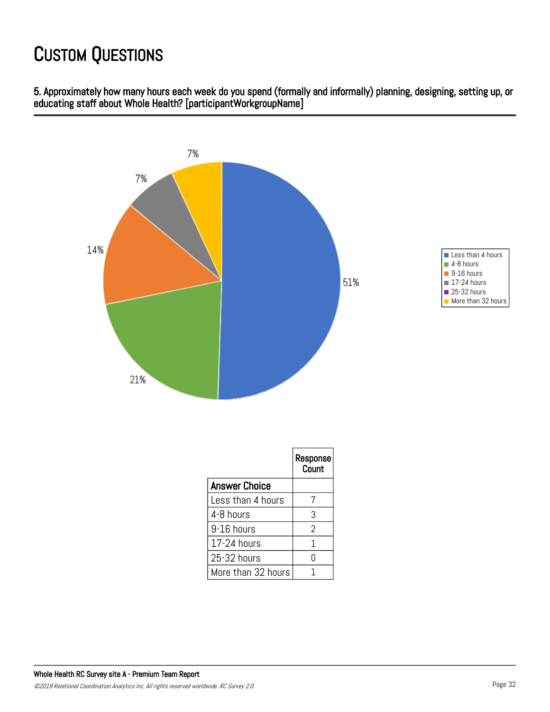5. Approximately how many hours each week do you spend (formally and informally) planning, designing, setting up, or educating staff about Whole Health? [participantWorkgroupName]



|                      | Response<br>Count |
|----------------------|-------------------|
| <b>Answer Choice</b> |                   |
| Less than 4 hours    | 7                 |
| 4-8 hours            | 3                 |
| 9-16 hours           | 2                 |
| 17-24 hours          | 1                 |
| 25-32 hours          | N                 |
| More than 32 hours   |                   |